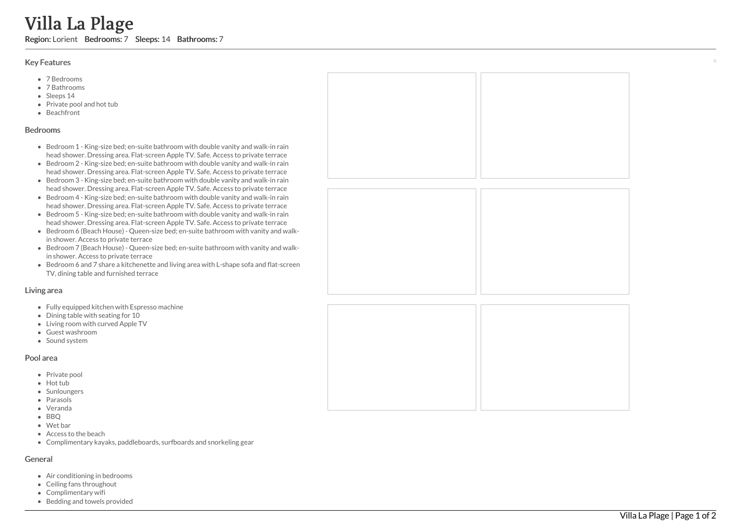# Villa La Plage

Region: Lorient Bedrooms: 7 Sleeps: 14 Bathrooms: 7

#### Key Features

- 7 B e d r o o m s
- 7 B a t h r o o m s
- Sleeps 14
- Private pool and hot tub
- **Beachfront**

#### **Bedrooms**

- Bedroom 1 King-size bed; en-suite bathroom with double vanity and walk-in rain head shower. Dressing area. Flat-screen Apple TV. Safe. Access to private terrace
- Bedroom 2 King-size bed; en-suite bathroom with double vanity and walk-in rain head shower. Dressing area. Flat-screen Apple TV. Safe. Access to private terrace
- Bedroom 3 King-size bed; en-suite bathroom with double vanity and walk-in rain head shower. Dressing area. Flat-screen Apple TV. Safe. Access to private terrace
- Bedroom 4 King-size bed; en-suite bathroom with double vanity and walk-in rain head shower. Dressing area. Flat-screen Apple TV. Safe. Access to private terrace
- Bedroom 5 King-size bed; en-suite bathroom with double vanity and walk-in rain head shower. Dressing area. Flat-screen Apple TV. Safe. Access to private terrace
- Bedroom 6 (Beach House) Queen-size bed; en-suite bathroom with vanity and walkin shower. Access to private terrace
- Bedroom 7 (Beach House) Queen-size bed; en-suite bathroom with vanity and walk in shower. Access to private terrace
- Bedroom 6 and 7 share a kitchenette and living area with L-shape sofa and flat-screen TV, dining table and furnished terrace

#### Living area

- Fully equipped kitchen with Espresso machine
- Dining table with seating for 10
- Living room with curved Apple TV
- Guest washroom
- Sound system

#### Pool area

- Private pool
- Hot tub
- Sunloungers
- Parasols
- Veranda
- BBO
- Wet bar
- Access to the beach
- Complimentary kayaks, paddleboards, surfboards and snorkeling gear

## General

- Air conditioning in bedrooms
- Ceiling fans throughout
- Complimentary wifi
- Bedding and towels provided